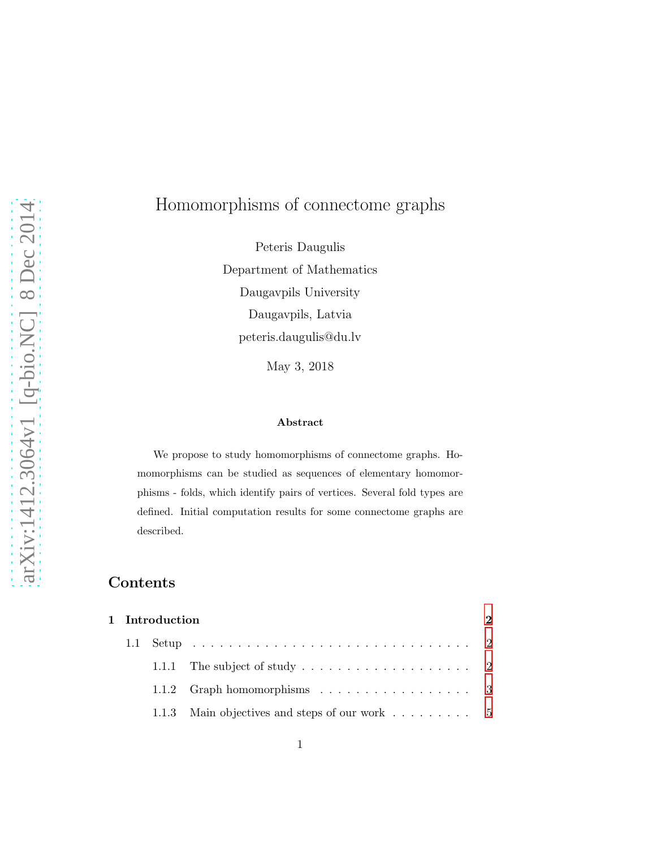# Homomorphisms of connectome graphs

Peteris Daugulis Department of Mathematics Daugavpils University Daugavpils, Latvia peteris.daugulis@du.lv

May 3, 2018

#### Abstract

We propose to study homomorphisms of connectome graphs. Homomorphisms can be studied as sequences of elementary homomorphisms - folds, which identify pairs of vertices. Several fold types are defined. Initial computation results for some connectome graphs are described.

# Contents

| 1 Introduction |  |                                               |  |
|----------------|--|-----------------------------------------------|--|
|                |  |                                               |  |
|                |  |                                               |  |
|                |  |                                               |  |
|                |  | 1.1.3 Main objectives and steps of our work 5 |  |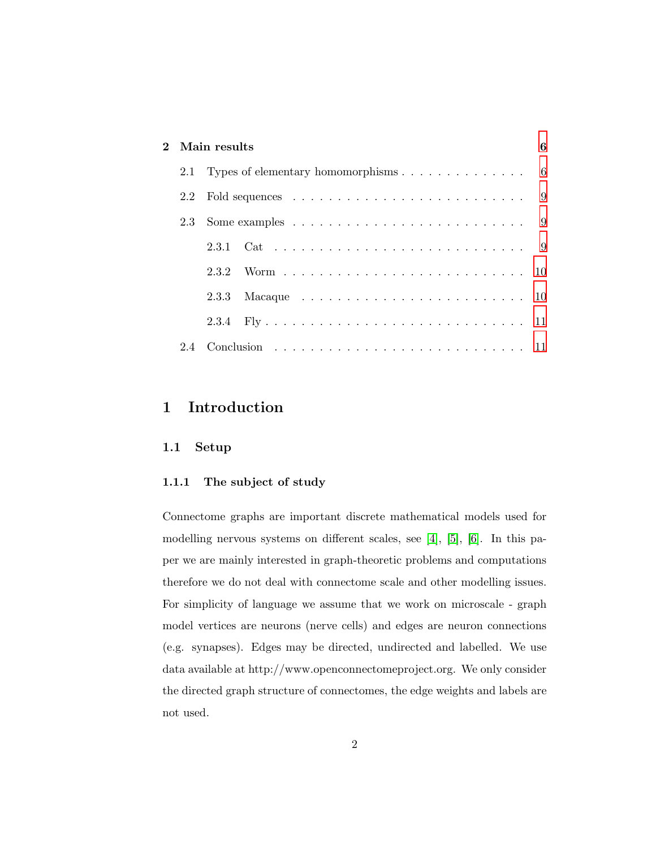## 2 Main results [6](#page-5-0)

|     | 2.1 Types of elementary homomorphisms $\ldots \ldots \ldots \ldots$ 6           |  |  |
|-----|---------------------------------------------------------------------------------|--|--|
| 2.2 | Fold sequences $\ldots \ldots \ldots \ldots \ldots \ldots \ldots \ldots \ldots$ |  |  |
|     |                                                                                 |  |  |
|     |                                                                                 |  |  |
|     | 2.3.2                                                                           |  |  |
|     |                                                                                 |  |  |
|     |                                                                                 |  |  |
| 2.4 |                                                                                 |  |  |

# <span id="page-1-1"></span><span id="page-1-0"></span>1 Introduction

#### <span id="page-1-2"></span>1.1 Setup

#### 1.1.1 The subject of study

Connectome graphs are important discrete mathematical models used for modelling nervous systems on different scales, see [\[4\]](#page-12-0), [\[5\]](#page-12-1), [\[6\]](#page-12-2). In this paper we are mainly interested in graph-theoretic problems and computations therefore we do not deal with connectome scale and other modelling issues. For simplicity of language we assume that we work on microscale - graph model vertices are neurons (nerve cells) and edges are neuron connections (e.g. synapses). Edges may be directed, undirected and labelled. We use data available at http://www.openconnectomeproject.org. We only consider the directed graph structure of connectomes, the edge weights and labels are not used.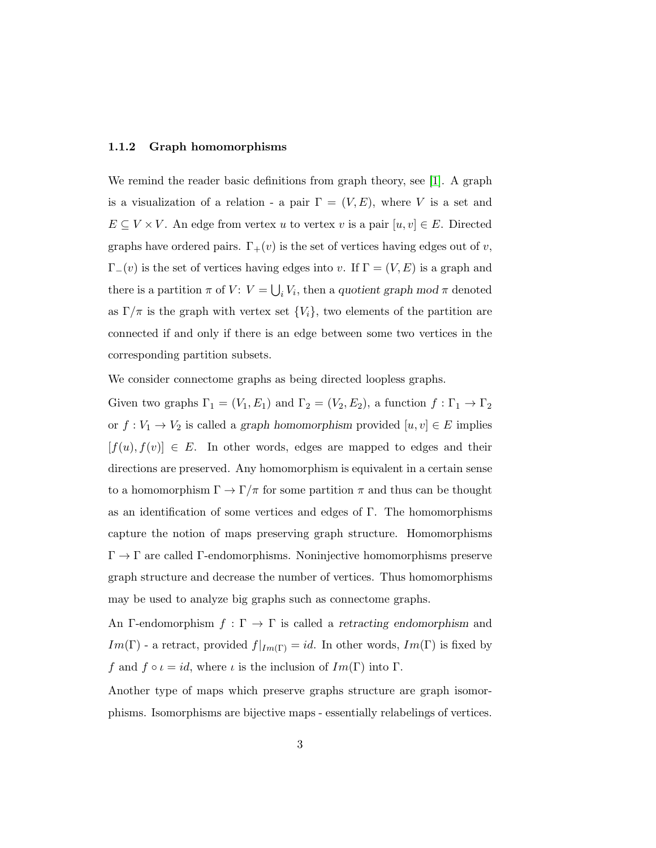#### <span id="page-2-0"></span>1.1.2 Graph homomorphisms

We remind the reader basic definitions from graph theory, see [\[1\]](#page-12-3). A graph is a visualization of a relation - a pair  $\Gamma = (V, E)$ , where V is a set and  $E \subseteq V \times V$ . An edge from vertex u to vertex v is a pair  $[u, v] \in E$ . Directed graphs have ordered pairs.  $\Gamma_+(v)$  is the set of vertices having edges out of v,  $\Gamma_-(v)$  is the set of vertices having edges into v. If  $\Gamma = (V, E)$  is a graph and there is a partition  $\pi$  of  $V: V = \bigcup_i V_i$ , then a quotient graph mod  $\pi$  denoted as  $\Gamma/\pi$  is the graph with vertex set  $\{V_i\}$ , two elements of the partition are connected if and only if there is an edge between some two vertices in the corresponding partition subsets.

We consider connectome graphs as being directed loopless graphs.

Given two graphs  $\Gamma_1 = (V_1, E_1)$  and  $\Gamma_2 = (V_2, E_2)$ , a function  $f : \Gamma_1 \to \Gamma_2$ or  $f: V_1 \to V_2$  is called a graph homomorphism provided  $[u, v] \in E$  implies  $[f(u), f(v)] \in E$ . In other words, edges are mapped to edges and their directions are preserved. Any homomorphism is equivalent in a certain sense to a homomorphism  $\Gamma \to \Gamma/\pi$  for some partition  $\pi$  and thus can be thought as an identification of some vertices and edges of Γ. The homomorphisms capture the notion of maps preserving graph structure. Homomorphisms  $\Gamma \to \Gamma$  are called Γ-endomorphisms. Noninjective homomorphisms preserve graph structure and decrease the number of vertices. Thus homomorphisms may be used to analyze big graphs such as connectome graphs.

An Γ-endomorphism  $f : \Gamma \to \Gamma$  is called a retracting endomorphism and  $Im(\Gamma)$  - a retract, provided  $f|_{Im(\Gamma)} = id$ . In other words,  $Im(\Gamma)$  is fixed by f and  $f \circ \iota = id$ , where  $\iota$  is the inclusion of  $Im(\Gamma)$  into  $\Gamma$ .

Another type of maps which preserve graphs structure are graph isomorphisms. Isomorphisms are bijective maps - essentially relabelings of vertices.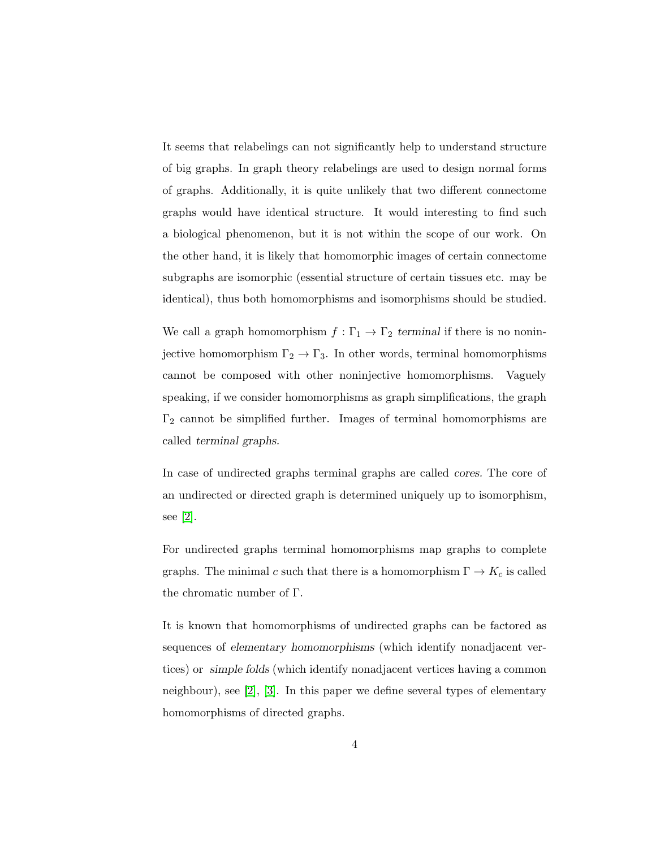It seems that relabelings can not significantly help to understand structure of big graphs. In graph theory relabelings are used to design normal forms of graphs. Additionally, it is quite unlikely that two different connectome graphs would have identical structure. It would interesting to find such a biological phenomenon, but it is not within the scope of our work. On the other hand, it is likely that homomorphic images of certain connectome subgraphs are isomorphic (essential structure of certain tissues etc. may be identical), thus both homomorphisms and isomorphisms should be studied.

We call a graph homomorphism  $f : \Gamma_1 \to \Gamma_2$  terminal if there is no noninjective homomorphism  $\Gamma_2 \to \Gamma_3$ . In other words, terminal homomorphisms cannot be composed with other noninjective homomorphisms. Vaguely speaking, if we consider homomorphisms as graph simplifications, the graph  $\Gamma_2$  cannot be simplified further. Images of terminal homomorphisms are called terminal graphs.

In case of undirected graphs terminal graphs are called cores. The core of an undirected or directed graph is determined uniquely up to isomorphism, see [\[2\]](#page-12-4).

For undirected graphs terminal homomorphisms map graphs to complete graphs. The minimal c such that there is a homomorphism  $\Gamma \to K_c$  is called the chromatic number of Γ.

It is known that homomorphisms of undirected graphs can be factored as sequences of elementary homomorphisms (which identify nonadjacent vertices) or simple folds (which identify nonadjacent vertices having a common neighbour), see [\[2\]](#page-12-4), [\[3\]](#page-12-5). In this paper we define several types of elementary homomorphisms of directed graphs.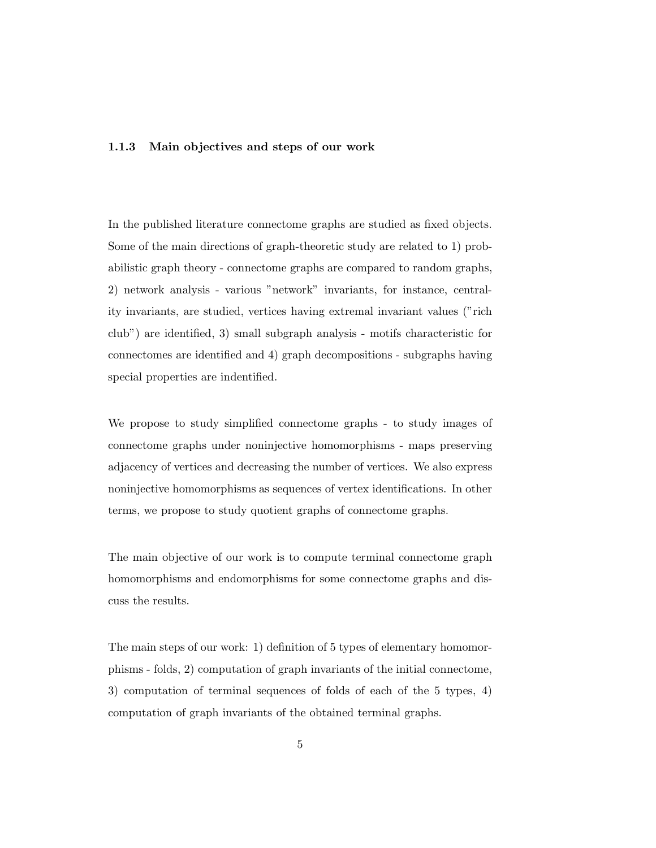#### <span id="page-4-0"></span>1.1.3 Main objectives and steps of our work

In the published literature connectome graphs are studied as fixed objects. Some of the main directions of graph-theoretic study are related to 1) probabilistic graph theory - connectome graphs are compared to random graphs, 2) network analysis - various "network" invariants, for instance, centrality invariants, are studied, vertices having extremal invariant values ("rich club") are identified, 3) small subgraph analysis - motifs characteristic for connectomes are identified and 4) graph decompositions - subgraphs having special properties are indentified.

We propose to study simplified connectome graphs - to study images of connectome graphs under noninjective homomorphisms - maps preserving adjacency of vertices and decreasing the number of vertices. We also express noninjective homomorphisms as sequences of vertex identifications. In other terms, we propose to study quotient graphs of connectome graphs.

The main objective of our work is to compute terminal connectome graph homomorphisms and endomorphisms for some connectome graphs and discuss the results.

The main steps of our work: 1) definition of 5 types of elementary homomorphisms - folds, 2) computation of graph invariants of the initial connectome, 3) computation of terminal sequences of folds of each of the 5 types, 4) computation of graph invariants of the obtained terminal graphs.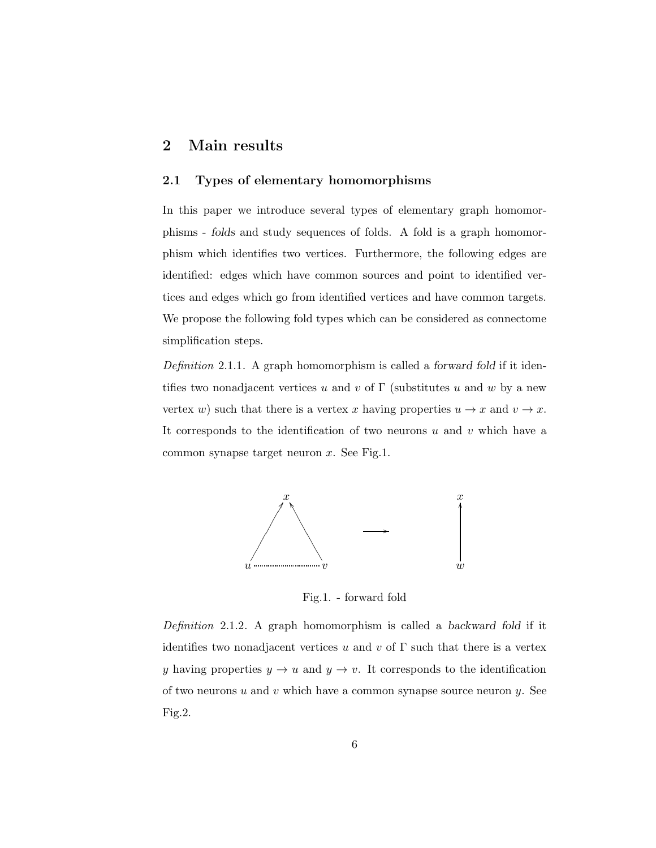## <span id="page-5-1"></span><span id="page-5-0"></span>2 Main results

#### 2.1 Types of elementary homomorphisms

In this paper we introduce several types of elementary graph homomorphisms - folds and study sequences of folds. A fold is a graph homomorphism which identifies two vertices. Furthermore, the following edges are identified: edges which have common sources and point to identified vertices and edges which go from identified vertices and have common targets. We propose the following fold types which can be considered as connectome simplification steps.

*Definition* 2.1.1*.* A graph homomorphism is called a forward fold if it identifies two nonadjacent vertices u and v of  $\Gamma$  (substitutes u and w by a new vertex w) such that there is a vertex x having properties  $u \to x$  and  $v \to x$ . It corresponds to the identification of two neurons  $u$  and  $v$  which have a common synapse target neuron  $x$ . See Fig.1.



Fig.1. - forward fold

*Definition* 2.1.2*.* A graph homomorphism is called a backward fold if it identifies two nonadjacent vertices u and v of  $\Gamma$  such that there is a vertex y having properties  $y \to u$  and  $y \to v$ . It corresponds to the identification of two neurons  $u$  and  $v$  which have a common synapse source neuron  $y$ . See Fig.2.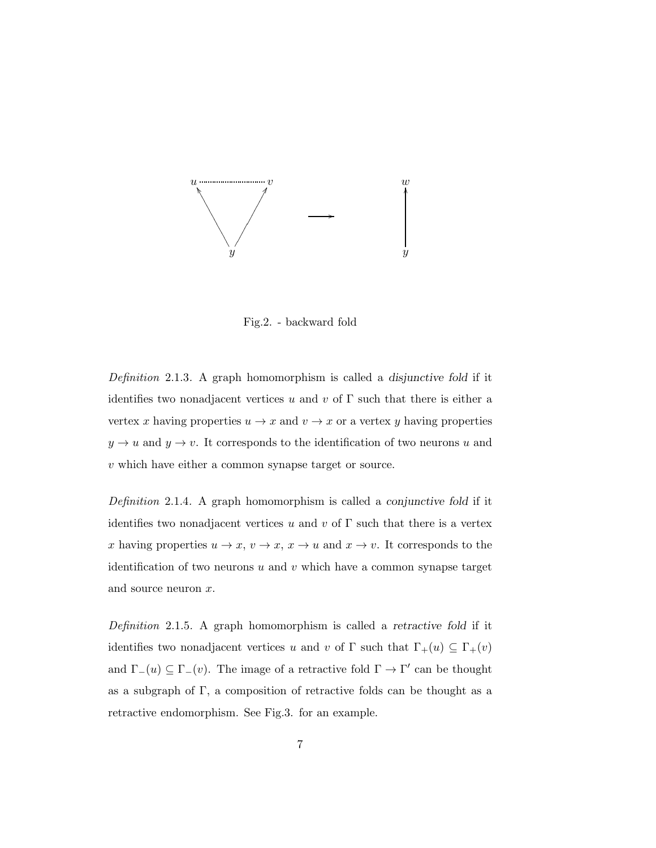

Fig.2. - backward fold

*Definition* 2.1.3*.* A graph homomorphism is called a disjunctive fold if it identifies two nonadjacent vertices u and v of  $\Gamma$  such that there is either a vertex x having properties  $u \to x$  and  $v \to x$  or a vertex y having properties  $y \to u$  and  $y \to v$ . It corresponds to the identification of two neurons u and v which have either a common synapse target or source.

*Definition* 2.1.4*.* A graph homomorphism is called a conjunctive fold if it identifies two nonadjacent vertices u and v of  $\Gamma$  such that there is a vertex x having properties  $u \to x$ ,  $v \to x$ ,  $x \to u$  and  $x \to v$ . It corresponds to the identification of two neurons  $u$  and  $v$  which have a common synapse target and source neuron x.

*Definition* 2.1.5*.* A graph homomorphism is called a retractive fold if it identifies two nonadjacent vertices u and v of Γ such that  $\Gamma_+(u) \subseteq \Gamma_+(v)$ and  $\Gamma_-(u) \subseteq \Gamma_-(v)$ . The image of a retractive fold  $\Gamma \to \Gamma'$  can be thought as a subgraph of Γ, a composition of retractive folds can be thought as a retractive endomorphism. See Fig.3. for an example.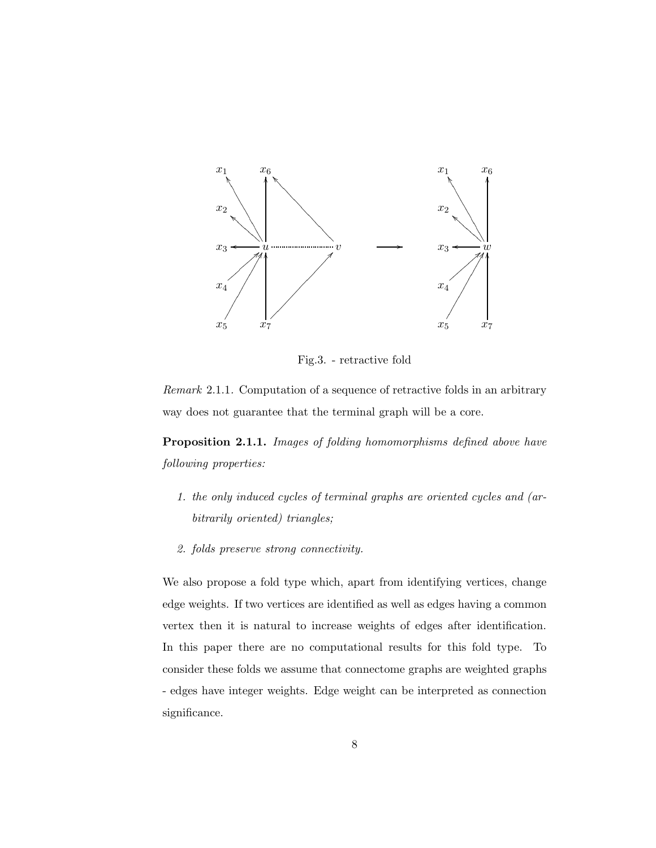

Fig.3. - retractive fold

*Remark* 2.1.1*.* Computation of a sequence of retractive folds in an arbitrary way does not guarantee that the terminal graph will be a core.

Proposition 2.1.1. *Images of folding homomorphisms defined above have following properties:*

- *1. the only induced cycles of terminal graphs are oriented cycles and (arbitrarily oriented) triangles;*
- *2. folds preserve strong connectivity.*

We also propose a fold type which, apart from identifying vertices, change edge weights. If two vertices are identified as well as edges having a common vertex then it is natural to increase weights of edges after identification. In this paper there are no computational results for this fold type. To consider these folds we assume that connectome graphs are weighted graphs - edges have integer weights. Edge weight can be interpreted as connection significance.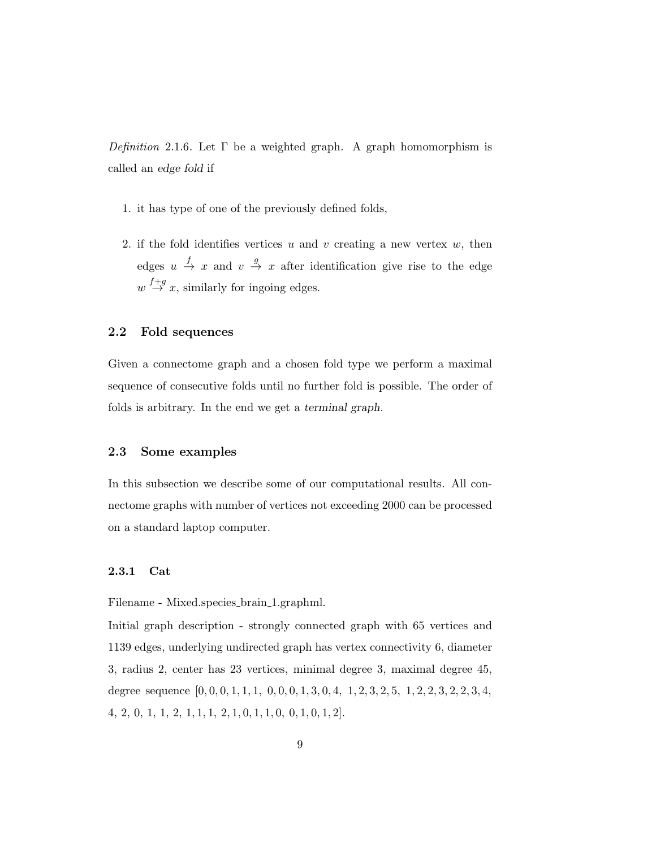*Definition* 2.1.6*.* Let Γ be a weighted graph. A graph homomorphism is called an edge fold if

- 1. it has type of one of the previously defined folds,
- 2. if the fold identifies vertices  $u$  and  $v$  creating a new vertex  $w$ , then edges  $u \stackrel{f}{\rightarrow} x$  and  $v \stackrel{g}{\rightarrow} x$  after identification give rise to the edge  $w \stackrel{f+g}{\rightarrow} x$ , similarly for ingoing edges.

### <span id="page-8-0"></span>2.2 Fold sequences

Given a connectome graph and a chosen fold type we perform a maximal sequence of consecutive folds until no further fold is possible. The order of folds is arbitrary. In the end we get a terminal graph.

#### <span id="page-8-1"></span>2.3 Some examples

In this subsection we describe some of our computational results. All connectome graphs with number of vertices not exceeding 2000 can be processed on a standard laptop computer.

#### <span id="page-8-2"></span>2.3.1 Cat

Filename - Mixed.species brain 1.graphml.

Initial graph description - strongly connected graph with 65 vertices and 1139 edges, underlying undirected graph has vertex connectivity 6, diameter 3, radius 2, center has 23 vertices, minimal degree 3, maximal degree 45, degree sequence  $[0, 0, 0, 1, 1, 1, 0, 0, 0, 1, 3, 0, 4, 1, 2, 3, 2, 5, 1, 2, 2, 3, 2, 2, 3, 4,$ 4, 2, 0, 1, 1, 2, 1, 1, 1, 2, 1, 0, 1, 1, 0, 0, 1, 0, 1, 2].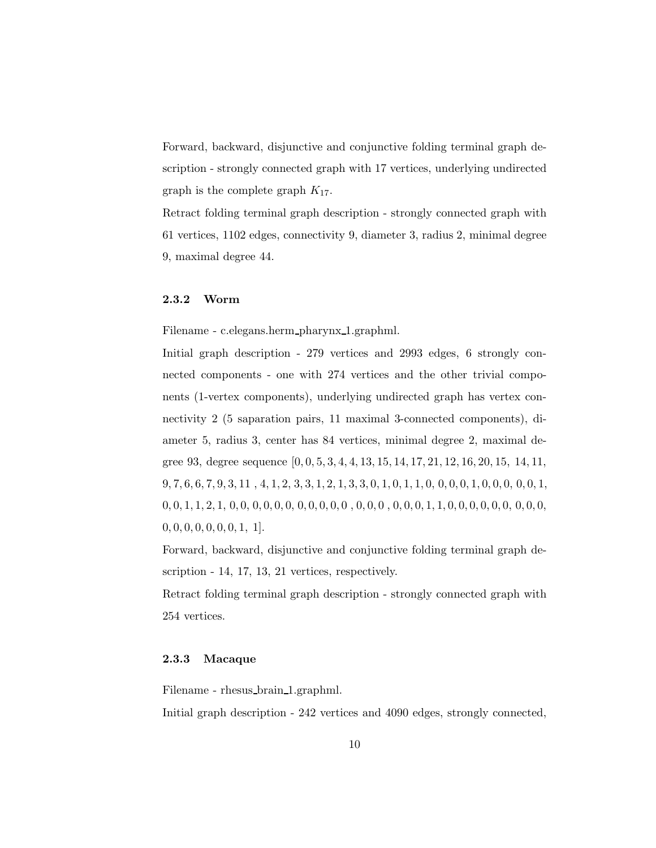Forward, backward, disjunctive and conjunctive folding terminal graph description - strongly connected graph with 17 vertices, underlying undirected graph is the complete graph  $K_{17}$ .

Retract folding terminal graph description - strongly connected graph with 61 vertices, 1102 edges, connectivity 9, diameter 3, radius 2, minimal degree 9, maximal degree 44.

#### <span id="page-9-0"></span>2.3.2 Worm

Filename - c.elegans.herm pharynx 1.graphml.

Initial graph description - 279 vertices and 2993 edges, 6 strongly connected components - one with 274 vertices and the other trivial components (1-vertex components), underlying undirected graph has vertex connectivity 2 (5 saparation pairs, 11 maximal 3-connected components), diameter 5, radius 3, center has 84 vertices, minimal degree 2, maximal degree 93, degree sequence [0, 0, 5, 3, 4, 4, 13, 15, 14, 17, 21, 12, 16, 20, 15, 14, 11,  $9, 7, 6, 6, 7, 9, 3, 11, 4, 1, 2, 3, 3, 1, 2, 1, 3, 3, 0, 1, 0, 1, 1, 0, 0, 0, 0, 1, 0, 0, 0, 0, 1, 0, 0, 0, 1, 0, 0, 0, 1, 0, 0, 0, 0, 1, 0, 0, 0, 0, 1, 0, 0, 0, 0, 1, 0, 0, 0, 0, 0, 0, 1, 0, 0, 0, 0, 0, 0, 1, 0, 0, 0,$ 0, 0, 1, 1, 2, 1, 0, 0, 0, 0, 0, 0, 0, 0, 0, 0, 0 , 0, 0, 0 , 0, 0, 0, 1, 1, 0, 0, 0, 0, 0, 0, 0, 0, 0,  $0, 0, 0, 0, 0, 0, 0, 1, 1$ .

Forward, backward, disjunctive and conjunctive folding terminal graph description - 14, 17, 13, 21 vertices, respectively.

Retract folding terminal graph description - strongly connected graph with 254 vertices.

#### <span id="page-9-1"></span>2.3.3 Macaque

Filename - rhesus brain 1.graphml.

Initial graph description - 242 vertices and 4090 edges, strongly connected,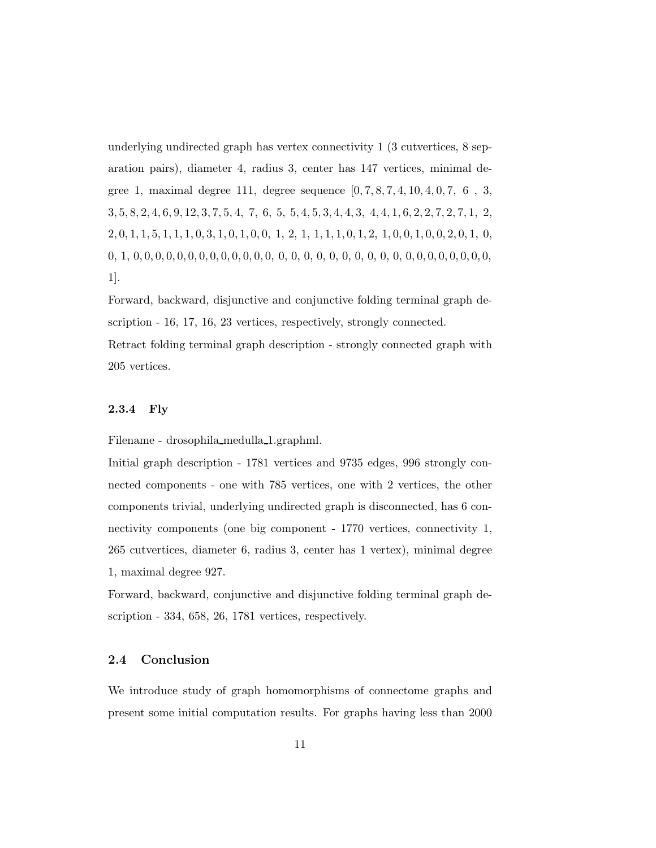underlying undirected graph has vertex connectivity 1 (3 cutvertices, 8 separation pairs), diameter 4, radius 3, center has 147 vertices, minimal degree 1, maximal degree 111, degree sequence [0, 7, 8, 7, 4, 10, 4, 0, 7, 6 , 3, 3, 5, 8, 2, 4, 6, 9, 12, 3, 7, 5, 4, 7, 6, 5, 5, 4, 5, 3, 4, 4, 3, 4, 4, 1, 6, 2, 2, 7, 2, 7, 1, 2,  $2, 0, 1, 1, 5, 1, 1, 1, 0, 3, 1, 0, 1, 0, 0, 1, 2, 1, 1, 1, 1, 0, 1, 2, 1, 0, 0, 1, 0, 0, 2, 0, 1, 0,$ 0, 1, 0, 0, 0, 0, 0, 0, 0, 0, 0, 0, 0, 0, 0, 0, 0, 0, 0, 0, 0, 0, 0, 0, 0, 0, 0, 0, 0, 0, 0, 0, 0, 1].

Forward, backward, disjunctive and conjunctive folding terminal graph description - 16, 17, 16, 23 vertices, respectively, strongly connected.

<span id="page-10-0"></span>Retract folding terminal graph description - strongly connected graph with 205 vertices.

#### 2.3.4 Fly

Filename - drosophila medulla 1.graphml.

Initial graph description - 1781 vertices and 9735 edges, 996 strongly connected components - one with 785 vertices, one with 2 vertices, the other components trivial, underlying undirected graph is disconnected, has 6 connectivity components (one big component - 1770 vertices, connectivity 1, 265 cutvertices, diameter 6, radius 3, center has 1 vertex), minimal degree 1, maximal degree 927.

Forward, backward, conjunctive and disjunctive folding terminal graph description - 334, 658, 26, 1781 vertices, respectively.

### <span id="page-10-1"></span>2.4 Conclusion

We introduce study of graph homomorphisms of connectome graphs and present some initial computation results. For graphs having less than 2000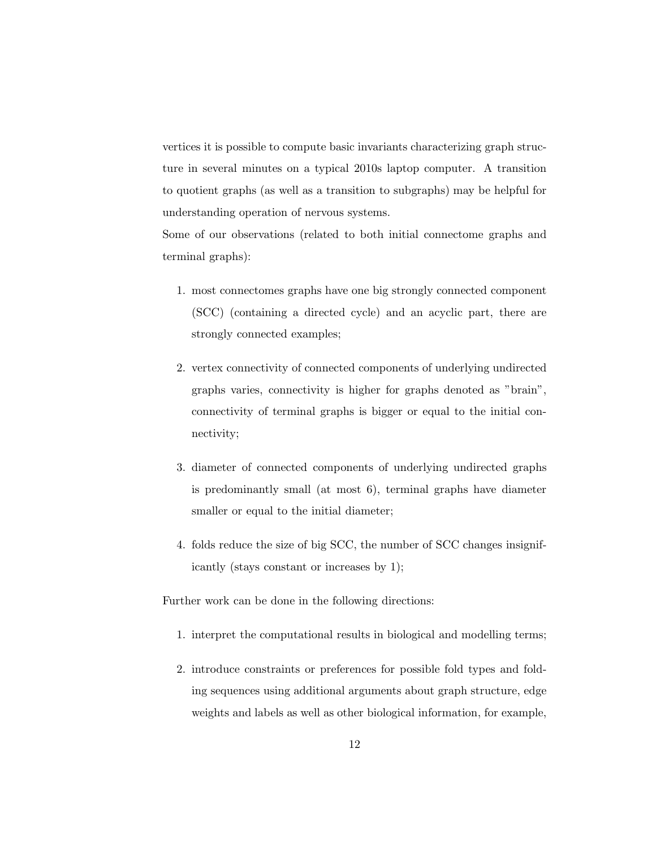vertices it is possible to compute basic invariants characterizing graph structure in several minutes on a typical 2010s laptop computer. A transition to quotient graphs (as well as a transition to subgraphs) may be helpful for understanding operation of nervous systems.

Some of our observations (related to both initial connectome graphs and terminal graphs):

- 1. most connectomes graphs have one big strongly connected component (SCC) (containing a directed cycle) and an acyclic part, there are strongly connected examples;
- 2. vertex connectivity of connected components of underlying undirected graphs varies, connectivity is higher for graphs denoted as "brain", connectivity of terminal graphs is bigger or equal to the initial connectivity;
- 3. diameter of connected components of underlying undirected graphs is predominantly small (at most 6), terminal graphs have diameter smaller or equal to the initial diameter;
- 4. folds reduce the size of big SCC, the number of SCC changes insignificantly (stays constant or increases by 1);

Further work can be done in the following directions:

- 1. interpret the computational results in biological and modelling terms;
- 2. introduce constraints or preferences for possible fold types and folding sequences using additional arguments about graph structure, edge weights and labels as well as other biological information, for example,